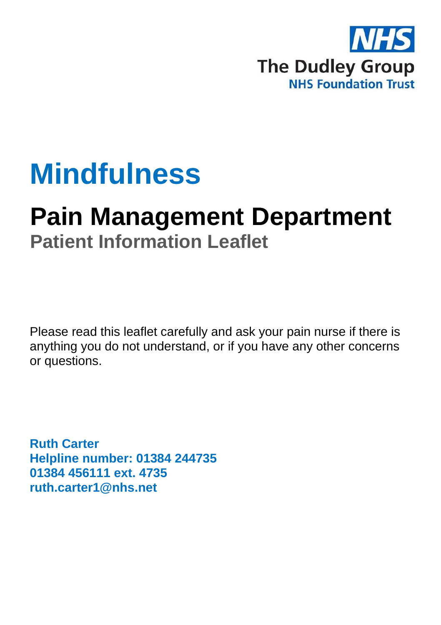

## **Mindfulness**

# **Pain Management Department**

**Patient Information Leaflet**

Please read this leaflet carefully and ask your pain nurse if there is anything you do not understand, or if you have any other concerns or questions.

**Ruth Carter Helpline number: 01384 244735 01384 456111 ext. 4735 ruth.carter1@nhs.net**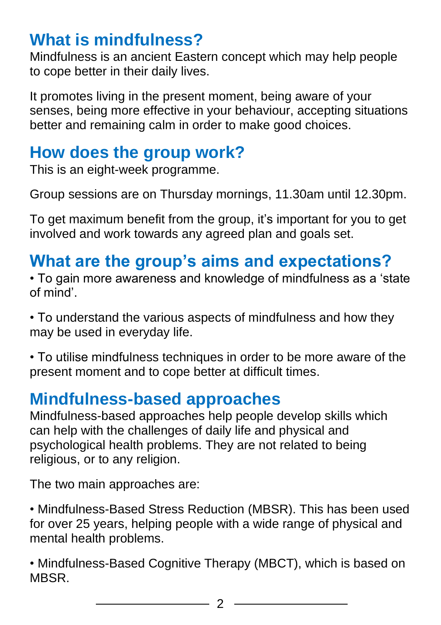#### **What is mindfulness?**

Mindfulness is an ancient Eastern concept which may help people to cope better in their daily lives.

It promotes living in the present moment, being aware of your senses, being more effective in your behaviour, accepting situations better and remaining calm in order to make good choices.

#### **How does the group work?**

This is an eight-week programme.

Group sessions are on Thursday mornings, 11.30am until 12.30pm.

To get maximum benefit from the group, it's important for you to get involved and work towards any agreed plan and goals set.

## **What are the group's aims and expectations?**

• To gain more awareness and knowledge of mindfulness as a 'state of mind'.

• To understand the various aspects of mindfulness and how they may be used in everyday life.

• To utilise mindfulness techniques in order to be more aware of the present moment and to cope better at difficult times.

#### **Mindfulness-based approaches**

Mindfulness-based approaches help people develop skills which can help with the challenges of daily life and physical and psychological health problems. They are not related to being religious, or to any religion.

The two main approaches are:

• Mindfulness-Based Stress Reduction (MBSR). This has been used for over 25 years, helping people with a wide range of physical and mental health problems.

• Mindfulness-Based Cognitive Therapy (MBCT), which is based on MBSR.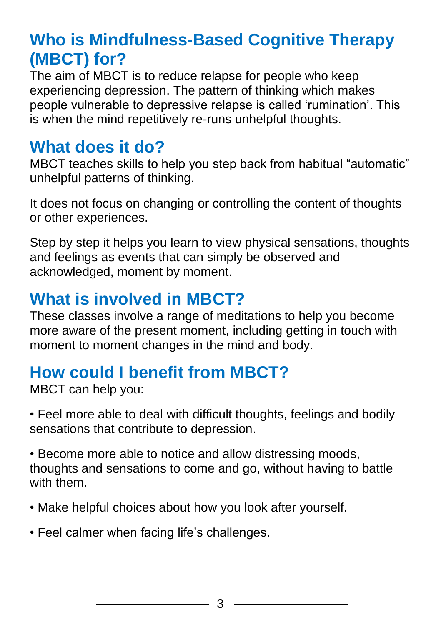#### **Who is Mindfulness-Based Cognitive Therapy (MBCT) for?**

The aim of MBCT is to reduce relapse for people who keep experiencing depression. The pattern of thinking which makes people vulnerable to depressive relapse is called 'rumination'. This is when the mind repetitively re-runs unhelpful thoughts.

#### **What does it do?**

MBCT teaches skills to help you step back from habitual "automatic" unhelpful patterns of thinking.

It does not focus on changing or controlling the content of thoughts or other experiences.

Step by step it helps you learn to view physical sensations, thoughts and feelings as events that can simply be observed and acknowledged, moment by moment.

#### **What is involved in MBCT?**

These classes involve a range of meditations to help you become more aware of the present moment, including getting in touch with moment to moment changes in the mind and body.

### **How could I benefit from MBCT?**

MBCT can help you:

• Feel more able to deal with difficult thoughts, feelings and bodily sensations that contribute to depression.

• Become more able to notice and allow distressing moods, thoughts and sensations to come and go, without having to battle with them.

- Make helpful choices about how you look after yourself.
- Feel calmer when facing life's challenges.